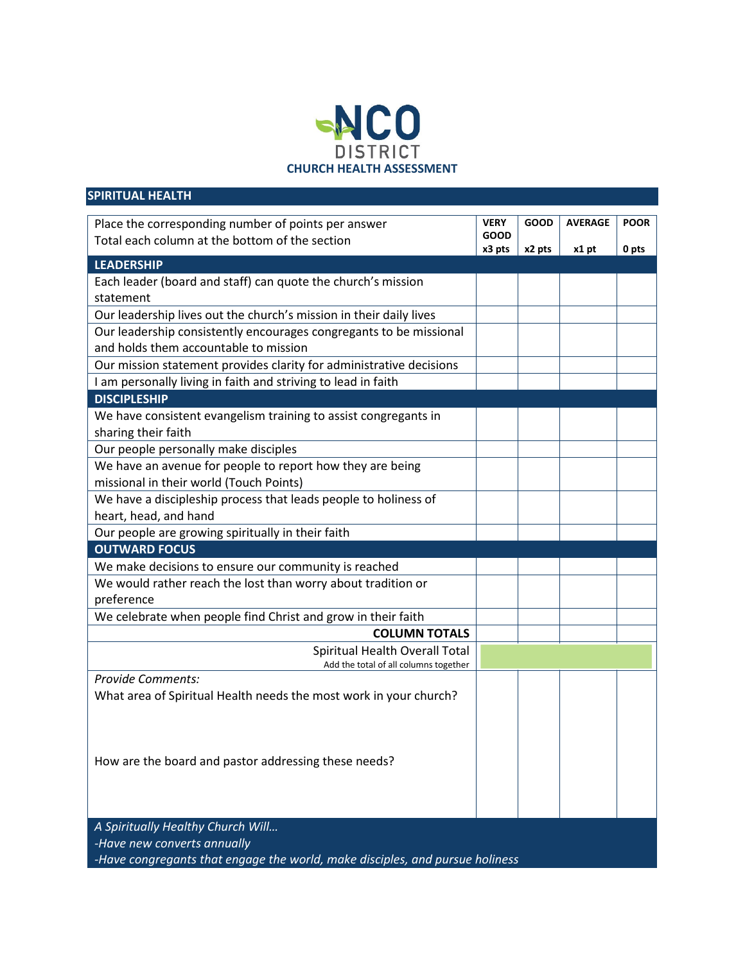

| <b>SPIRITUAL HEALTH</b>                                                      |             |             |                |             |
|------------------------------------------------------------------------------|-------------|-------------|----------------|-------------|
| Place the corresponding number of points per answer                          | <b>VERY</b> | <b>GOOD</b> | <b>AVERAGE</b> | <b>POOR</b> |
| Total each column at the bottom of the section                               | <b>GOOD</b> |             |                |             |
|                                                                              | x3 pts      | x2 pts      | x1 pt          | 0 pts       |
| <b>LEADERSHIP</b>                                                            |             |             |                |             |
| Each leader (board and staff) can quote the church's mission                 |             |             |                |             |
| statement                                                                    |             |             |                |             |
| Our leadership lives out the church's mission in their daily lives           |             |             |                |             |
| Our leadership consistently encourages congregants to be missional           |             |             |                |             |
| and holds them accountable to mission                                        |             |             |                |             |
| Our mission statement provides clarity for administrative decisions          |             |             |                |             |
| I am personally living in faith and striving to lead in faith                |             |             |                |             |
| <b>DISCIPLESHIP</b>                                                          |             |             |                |             |
| We have consistent evangelism training to assist congregants in              |             |             |                |             |
| sharing their faith                                                          |             |             |                |             |
| Our people personally make disciples                                         |             |             |                |             |
| We have an avenue for people to report how they are being                    |             |             |                |             |
| missional in their world (Touch Points)                                      |             |             |                |             |
| We have a discipleship process that leads people to holiness of              |             |             |                |             |
| heart, head, and hand                                                        |             |             |                |             |
| Our people are growing spiritually in their faith                            |             |             |                |             |
| <b>OUTWARD FOCUS</b>                                                         |             |             |                |             |
| We make decisions to ensure our community is reached                         |             |             |                |             |
| We would rather reach the lost than worry about tradition or                 |             |             |                |             |
| preference                                                                   |             |             |                |             |
| We celebrate when people find Christ and grow in their faith                 |             |             |                |             |
| <b>COLUMN TOTALS</b>                                                         |             |             |                |             |
| Spiritual Health Overall Total                                               |             |             |                |             |
| Add the total of all columns together                                        |             |             |                |             |
| <b>Provide Comments:</b>                                                     |             |             |                |             |
| What area of Spiritual Health needs the most work in your church?            |             |             |                |             |
|                                                                              |             |             |                |             |
|                                                                              |             |             |                |             |
|                                                                              |             |             |                |             |
| How are the board and pastor addressing these needs?                         |             |             |                |             |
|                                                                              |             |             |                |             |
|                                                                              |             |             |                |             |
|                                                                              |             |             |                |             |
| A Spiritually Healthy Church Will                                            |             |             |                |             |
| -Have new converts annually                                                  |             |             |                |             |
| -Have congregants that engage the world, make disciples, and pursue holiness |             |             |                |             |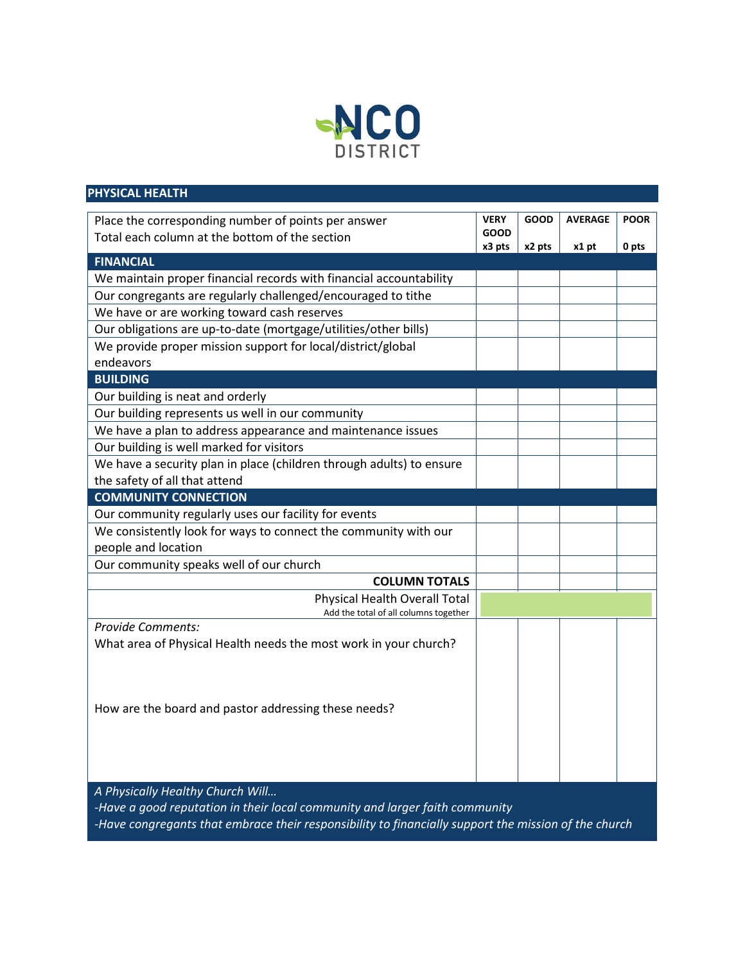

| <b>PHYSICAL HEALTH</b>                                                                               |             |             |                |             |  |
|------------------------------------------------------------------------------------------------------|-------------|-------------|----------------|-------------|--|
| Place the corresponding number of points per answer                                                  | <b>VERY</b> | <b>GOOD</b> | <b>AVERAGE</b> | <b>POOR</b> |  |
| Total each column at the bottom of the section                                                       | <b>GOOD</b> |             |                |             |  |
|                                                                                                      | x3 pts      | x2 pts      | x1 pt          | 0 pts       |  |
| <b>FINANCIAL</b>                                                                                     |             |             |                |             |  |
| We maintain proper financial records with financial accountability                                   |             |             |                |             |  |
| Our congregants are regularly challenged/encouraged to tithe                                         |             |             |                |             |  |
| We have or are working toward cash reserves                                                          |             |             |                |             |  |
| Our obligations are up-to-date (mortgage/utilities/other bills)                                      |             |             |                |             |  |
| We provide proper mission support for local/district/global                                          |             |             |                |             |  |
| endeavors                                                                                            |             |             |                |             |  |
| <b>BUILDING</b>                                                                                      |             |             |                |             |  |
| Our building is neat and orderly                                                                     |             |             |                |             |  |
| Our building represents us well in our community                                                     |             |             |                |             |  |
| We have a plan to address appearance and maintenance issues                                          |             |             |                |             |  |
| Our building is well marked for visitors                                                             |             |             |                |             |  |
| We have a security plan in place (children through adults) to ensure                                 |             |             |                |             |  |
| the safety of all that attend                                                                        |             |             |                |             |  |
| <b>COMMUNITY CONNECTION</b>                                                                          |             |             |                |             |  |
| Our community regularly uses our facility for events                                                 |             |             |                |             |  |
| We consistently look for ways to connect the community with our                                      |             |             |                |             |  |
| people and location                                                                                  |             |             |                |             |  |
| Our community speaks well of our church                                                              |             |             |                |             |  |
| <b>COLUMN TOTALS</b>                                                                                 |             |             |                |             |  |
| Physical Health Overall Total                                                                        |             |             |                |             |  |
| Add the total of all columns together                                                                |             |             |                |             |  |
| <b>Provide Comments:</b>                                                                             |             |             |                |             |  |
| What area of Physical Health needs the most work in your church?                                     |             |             |                |             |  |
|                                                                                                      |             |             |                |             |  |
|                                                                                                      |             |             |                |             |  |
|                                                                                                      |             |             |                |             |  |
| How are the board and pastor addressing these needs?                                                 |             |             |                |             |  |
|                                                                                                      |             |             |                |             |  |
|                                                                                                      |             |             |                |             |  |
|                                                                                                      |             |             |                |             |  |
|                                                                                                      |             |             |                |             |  |
| A Physically Healthy Church Will                                                                     |             |             |                |             |  |
| -Have a good reputation in their local community and larger faith community                          |             |             |                |             |  |
| -Have congregants that embrace their responsibility to financially support the mission of the church |             |             |                |             |  |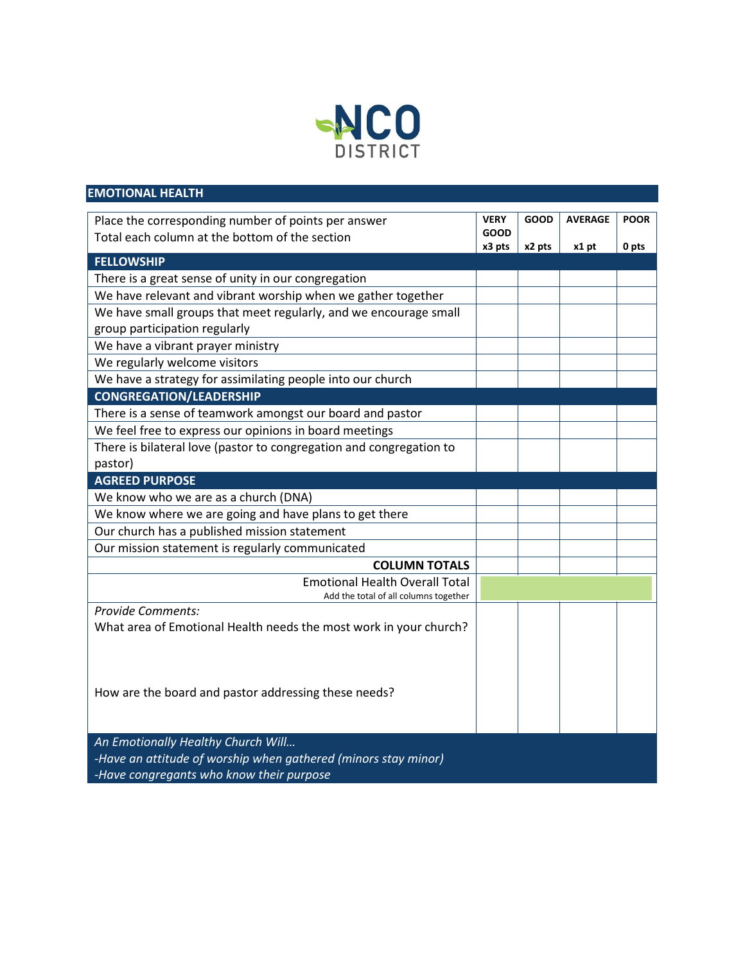

| <b>AVERAGE</b><br><b>POOR</b><br>Place the corresponding number of points per answer<br><b>VERY</b><br><b>GOOD</b><br><b>GOOD</b><br>Total each column at the bottom of the section<br>x3 pts<br>0 pts<br>x2 pts<br>x1 pt<br><b>FELLOWSHIP</b><br>There is a great sense of unity in our congregation<br>We have relevant and vibrant worship when we gather together<br>We have small groups that meet regularly, and we encourage small<br>group participation regularly<br>We have a vibrant prayer ministry<br>We regularly welcome visitors<br>We have a strategy for assimilating people into our church<br><b>CONGREGATION/LEADERSHIP</b><br>There is a sense of teamwork amongst our board and pastor<br>We feel free to express our opinions in board meetings<br>There is bilateral love (pastor to congregation and congregation to<br>pastor)<br><b>AGREED PURPOSE</b><br>We know who we are as a church (DNA)<br>We know where we are going and have plans to get there<br>Our church has a published mission statement<br>Our mission statement is regularly communicated<br><b>COLUMN TOTALS</b><br><b>Emotional Health Overall Total</b><br>Add the total of all columns together<br><b>Provide Comments:</b><br>What area of Emotional Health needs the most work in your church?<br>How are the board and pastor addressing these needs? | <b>EMOTIONAL HEALTH</b> |  |  |  |
|------------------------------------------------------------------------------------------------------------------------------------------------------------------------------------------------------------------------------------------------------------------------------------------------------------------------------------------------------------------------------------------------------------------------------------------------------------------------------------------------------------------------------------------------------------------------------------------------------------------------------------------------------------------------------------------------------------------------------------------------------------------------------------------------------------------------------------------------------------------------------------------------------------------------------------------------------------------------------------------------------------------------------------------------------------------------------------------------------------------------------------------------------------------------------------------------------------------------------------------------------------------------------------------------------------------------------------------------------------|-------------------------|--|--|--|
|                                                                                                                                                                                                                                                                                                                                                                                                                                                                                                                                                                                                                                                                                                                                                                                                                                                                                                                                                                                                                                                                                                                                                                                                                                                                                                                                                            |                         |  |  |  |
|                                                                                                                                                                                                                                                                                                                                                                                                                                                                                                                                                                                                                                                                                                                                                                                                                                                                                                                                                                                                                                                                                                                                                                                                                                                                                                                                                            |                         |  |  |  |
|                                                                                                                                                                                                                                                                                                                                                                                                                                                                                                                                                                                                                                                                                                                                                                                                                                                                                                                                                                                                                                                                                                                                                                                                                                                                                                                                                            |                         |  |  |  |
|                                                                                                                                                                                                                                                                                                                                                                                                                                                                                                                                                                                                                                                                                                                                                                                                                                                                                                                                                                                                                                                                                                                                                                                                                                                                                                                                                            |                         |  |  |  |
|                                                                                                                                                                                                                                                                                                                                                                                                                                                                                                                                                                                                                                                                                                                                                                                                                                                                                                                                                                                                                                                                                                                                                                                                                                                                                                                                                            |                         |  |  |  |
|                                                                                                                                                                                                                                                                                                                                                                                                                                                                                                                                                                                                                                                                                                                                                                                                                                                                                                                                                                                                                                                                                                                                                                                                                                                                                                                                                            |                         |  |  |  |
|                                                                                                                                                                                                                                                                                                                                                                                                                                                                                                                                                                                                                                                                                                                                                                                                                                                                                                                                                                                                                                                                                                                                                                                                                                                                                                                                                            |                         |  |  |  |
|                                                                                                                                                                                                                                                                                                                                                                                                                                                                                                                                                                                                                                                                                                                                                                                                                                                                                                                                                                                                                                                                                                                                                                                                                                                                                                                                                            |                         |  |  |  |
|                                                                                                                                                                                                                                                                                                                                                                                                                                                                                                                                                                                                                                                                                                                                                                                                                                                                                                                                                                                                                                                                                                                                                                                                                                                                                                                                                            |                         |  |  |  |
|                                                                                                                                                                                                                                                                                                                                                                                                                                                                                                                                                                                                                                                                                                                                                                                                                                                                                                                                                                                                                                                                                                                                                                                                                                                                                                                                                            |                         |  |  |  |
|                                                                                                                                                                                                                                                                                                                                                                                                                                                                                                                                                                                                                                                                                                                                                                                                                                                                                                                                                                                                                                                                                                                                                                                                                                                                                                                                                            |                         |  |  |  |
|                                                                                                                                                                                                                                                                                                                                                                                                                                                                                                                                                                                                                                                                                                                                                                                                                                                                                                                                                                                                                                                                                                                                                                                                                                                                                                                                                            |                         |  |  |  |
|                                                                                                                                                                                                                                                                                                                                                                                                                                                                                                                                                                                                                                                                                                                                                                                                                                                                                                                                                                                                                                                                                                                                                                                                                                                                                                                                                            |                         |  |  |  |
|                                                                                                                                                                                                                                                                                                                                                                                                                                                                                                                                                                                                                                                                                                                                                                                                                                                                                                                                                                                                                                                                                                                                                                                                                                                                                                                                                            |                         |  |  |  |
|                                                                                                                                                                                                                                                                                                                                                                                                                                                                                                                                                                                                                                                                                                                                                                                                                                                                                                                                                                                                                                                                                                                                                                                                                                                                                                                                                            |                         |  |  |  |
|                                                                                                                                                                                                                                                                                                                                                                                                                                                                                                                                                                                                                                                                                                                                                                                                                                                                                                                                                                                                                                                                                                                                                                                                                                                                                                                                                            |                         |  |  |  |
|                                                                                                                                                                                                                                                                                                                                                                                                                                                                                                                                                                                                                                                                                                                                                                                                                                                                                                                                                                                                                                                                                                                                                                                                                                                                                                                                                            |                         |  |  |  |
|                                                                                                                                                                                                                                                                                                                                                                                                                                                                                                                                                                                                                                                                                                                                                                                                                                                                                                                                                                                                                                                                                                                                                                                                                                                                                                                                                            |                         |  |  |  |
|                                                                                                                                                                                                                                                                                                                                                                                                                                                                                                                                                                                                                                                                                                                                                                                                                                                                                                                                                                                                                                                                                                                                                                                                                                                                                                                                                            |                         |  |  |  |
|                                                                                                                                                                                                                                                                                                                                                                                                                                                                                                                                                                                                                                                                                                                                                                                                                                                                                                                                                                                                                                                                                                                                                                                                                                                                                                                                                            |                         |  |  |  |
|                                                                                                                                                                                                                                                                                                                                                                                                                                                                                                                                                                                                                                                                                                                                                                                                                                                                                                                                                                                                                                                                                                                                                                                                                                                                                                                                                            |                         |  |  |  |
|                                                                                                                                                                                                                                                                                                                                                                                                                                                                                                                                                                                                                                                                                                                                                                                                                                                                                                                                                                                                                                                                                                                                                                                                                                                                                                                                                            |                         |  |  |  |
|                                                                                                                                                                                                                                                                                                                                                                                                                                                                                                                                                                                                                                                                                                                                                                                                                                                                                                                                                                                                                                                                                                                                                                                                                                                                                                                                                            |                         |  |  |  |
|                                                                                                                                                                                                                                                                                                                                                                                                                                                                                                                                                                                                                                                                                                                                                                                                                                                                                                                                                                                                                                                                                                                                                                                                                                                                                                                                                            |                         |  |  |  |
|                                                                                                                                                                                                                                                                                                                                                                                                                                                                                                                                                                                                                                                                                                                                                                                                                                                                                                                                                                                                                                                                                                                                                                                                                                                                                                                                                            |                         |  |  |  |
|                                                                                                                                                                                                                                                                                                                                                                                                                                                                                                                                                                                                                                                                                                                                                                                                                                                                                                                                                                                                                                                                                                                                                                                                                                                                                                                                                            |                         |  |  |  |
|                                                                                                                                                                                                                                                                                                                                                                                                                                                                                                                                                                                                                                                                                                                                                                                                                                                                                                                                                                                                                                                                                                                                                                                                                                                                                                                                                            |                         |  |  |  |
|                                                                                                                                                                                                                                                                                                                                                                                                                                                                                                                                                                                                                                                                                                                                                                                                                                                                                                                                                                                                                                                                                                                                                                                                                                                                                                                                                            |                         |  |  |  |
|                                                                                                                                                                                                                                                                                                                                                                                                                                                                                                                                                                                                                                                                                                                                                                                                                                                                                                                                                                                                                                                                                                                                                                                                                                                                                                                                                            |                         |  |  |  |
|                                                                                                                                                                                                                                                                                                                                                                                                                                                                                                                                                                                                                                                                                                                                                                                                                                                                                                                                                                                                                                                                                                                                                                                                                                                                                                                                                            |                         |  |  |  |
|                                                                                                                                                                                                                                                                                                                                                                                                                                                                                                                                                                                                                                                                                                                                                                                                                                                                                                                                                                                                                                                                                                                                                                                                                                                                                                                                                            |                         |  |  |  |
| An Emotionally Healthy Church Will                                                                                                                                                                                                                                                                                                                                                                                                                                                                                                                                                                                                                                                                                                                                                                                                                                                                                                                                                                                                                                                                                                                                                                                                                                                                                                                         |                         |  |  |  |
| -Have an attitude of worship when gathered (minors stay minor)                                                                                                                                                                                                                                                                                                                                                                                                                                                                                                                                                                                                                                                                                                                                                                                                                                                                                                                                                                                                                                                                                                                                                                                                                                                                                             |                         |  |  |  |
| -Have congregants who know their purpose                                                                                                                                                                                                                                                                                                                                                                                                                                                                                                                                                                                                                                                                                                                                                                                                                                                                                                                                                                                                                                                                                                                                                                                                                                                                                                                   |                         |  |  |  |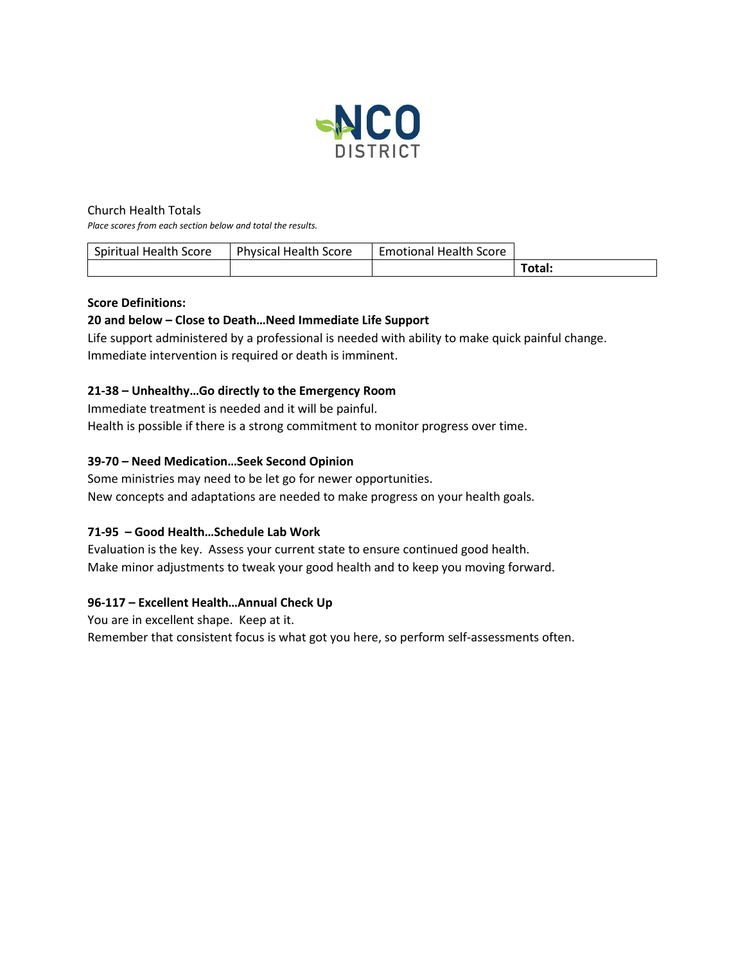

### Church Health Totals

*Place scores from each section below and total the results.*

| Spiritual Health Score | <b>Physical Health Score</b> | <b>Emotional Health Score</b> |        |
|------------------------|------------------------------|-------------------------------|--------|
|                        |                              |                               | Total: |

### **Score Definitions:**

## **20 and below – Close to Death…Need Immediate Life Support**

Life support administered by a professional is needed with ability to make quick painful change. Immediate intervention is required or death is imminent.

## **21-38 – Unhealthy…Go directly to the Emergency Room**

Immediate treatment is needed and it will be painful. Health is possible if there is a strong commitment to monitor progress over time.

## **39-70 – Need Medication…Seek Second Opinion**

Some ministries may need to be let go for newer opportunities. New concepts and adaptations are needed to make progress on your health goals.

# **71-95 – Good Health…Schedule Lab Work**

Evaluation is the key. Assess your current state to ensure continued good health. Make minor adjustments to tweak your good health and to keep you moving forward.

### **96-117 – Excellent Health…Annual Check Up**

You are in excellent shape. Keep at it.

Remember that consistent focus is what got you here, so perform self-assessments often.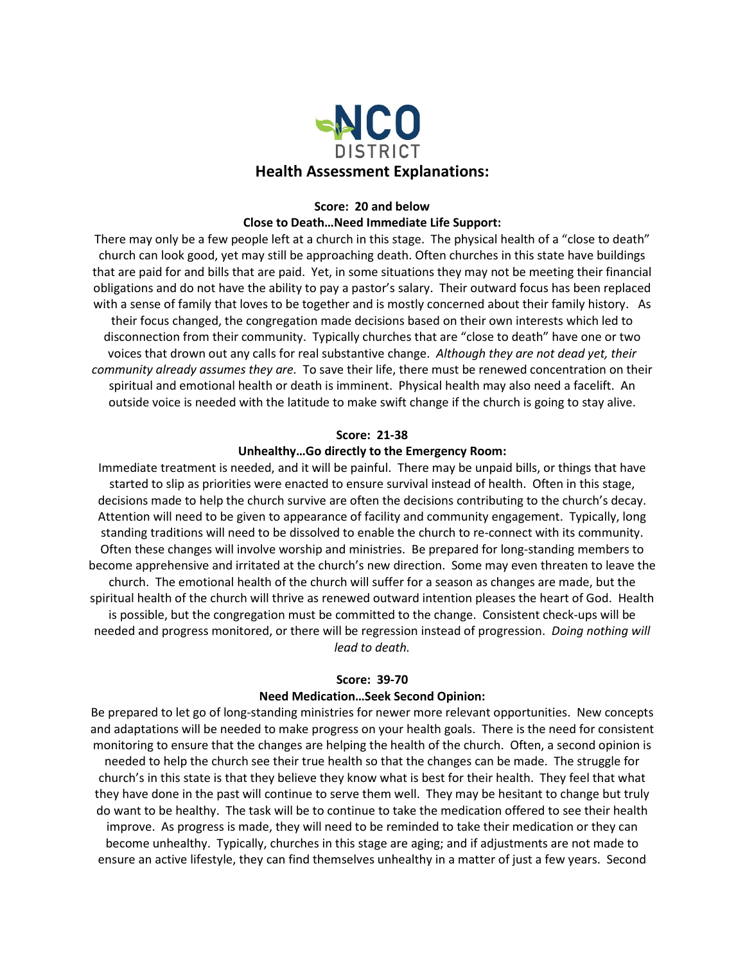

## **Score: 20 and below Close to Death…Need Immediate Life Support:**

There may only be a few people left at a church in this stage. The physical health of a "close to death" church can look good, yet may still be approaching death. Often churches in this state have buildings that are paid for and bills that are paid. Yet, in some situations they may not be meeting their financial obligations and do not have the ability to pay a pastor's salary. Their outward focus has been replaced with a sense of family that loves to be together and is mostly concerned about their family history. As their focus changed, the congregation made decisions based on their own interests which led to disconnection from their community. Typically churches that are "close to death" have one or two voices that drown out any calls for real substantive change. *Although they are not dead yet, their community already assumes they are.* To save their life, there must be renewed concentration on their spiritual and emotional health or death is imminent. Physical health may also need a facelift. An outside voice is needed with the latitude to make swift change if the church is going to stay alive.

#### **Score: 21-38**

#### **Unhealthy…Go directly to the Emergency Room:**

Immediate treatment is needed, and it will be painful. There may be unpaid bills, or things that have started to slip as priorities were enacted to ensure survival instead of health. Often in this stage, decisions made to help the church survive are often the decisions contributing to the church's decay. Attention will need to be given to appearance of facility and community engagement. Typically, long standing traditions will need to be dissolved to enable the church to re-connect with its community. Often these changes will involve worship and ministries. Be prepared for long-standing members to become apprehensive and irritated at the church's new direction. Some may even threaten to leave the church. The emotional health of the church will suffer for a season as changes are made, but the spiritual health of the church will thrive as renewed outward intention pleases the heart of God. Health is possible, but the congregation must be committed to the change. Consistent check-ups will be needed and progress monitored, or there will be regression instead of progression. *Doing nothing will lead to death.*

#### **Score: 39-70**

#### **Need Medication…Seek Second Opinion:**

Be prepared to let go of long-standing ministries for newer more relevant opportunities. New concepts and adaptations will be needed to make progress on your health goals. There is the need for consistent monitoring to ensure that the changes are helping the health of the church. Often, a second opinion is needed to help the church see their true health so that the changes can be made. The struggle for church's in this state is that they believe they know what is best for their health. They feel that what they have done in the past will continue to serve them well. They may be hesitant to change but truly do want to be healthy. The task will be to continue to take the medication offered to see their health improve. As progress is made, they will need to be reminded to take their medication or they can become unhealthy. Typically, churches in this stage are aging; and if adjustments are not made to ensure an active lifestyle, they can find themselves unhealthy in a matter of just a few years. Second